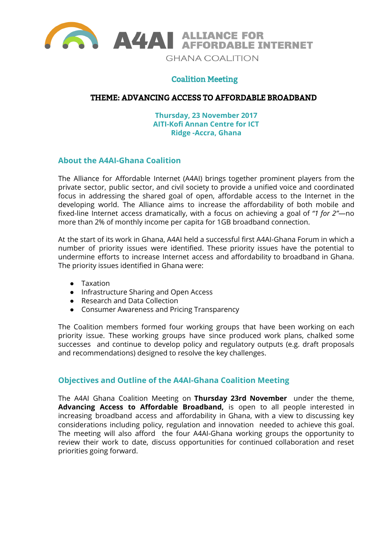

# Coalition Meeting

### THEME: ADVANCING ACCESS TO AFFORDABLE BROADBAND

**Thursday, 23 November 2017 AITI-Kofi Annan Centre for ICT Ridge -Accra, Ghana**

#### **About the A4AI-Ghana Coalition**

The Alliance for Affordable Internet (A4AI) brings together prominent players from the private sector, public sector, and civil society to provide a unified voice and coordinated focus in addressing the shared goal of open, affordable access to the Internet in the developing world. The Alliance aims to increase the affordability of both mobile and fixed-line Internet access dramatically, with a focus on achieving a goal of *"1 for 2"*—no more than 2% of monthly income per capita for 1GB broadband connection.

At the start of its work in Ghana, A4AI held a successful first A4AI-Ghana Forum in which a number of priority issues were identified. These priority issues have the potential to undermine efforts to increase Internet access and affordability to broadband in Ghana. The priority issues identified in Ghana were:

- Taxation
- Infrastructure Sharing and Open Access
- Research and Data Collection
- Consumer Awareness and Pricing Transparency

The Coalition members formed four working groups that have been working on each priority issue. These working groups have since produced work plans, chalked some successes and continue to develop policy and regulatory outputs (e.g. draft proposals and recommendations) designed to resolve the key challenges.

### **Objectives and Outline of the A4AI-Ghana Coalition Meeting**

The A4AI Ghana Coalition Meeting on **Thursday 23rd November** under the theme, **Advancing Access to Affordable Broadband,** is open to all people interested in increasing broadband access and affordability in Ghana, with a view to discussing key considerations including policy, regulation and innovation needed to achieve this goal. The meeting will also afford the four A4AI-Ghana working groups the opportunity to review their work to date, discuss opportunities for continued collaboration and reset priorities going forward.